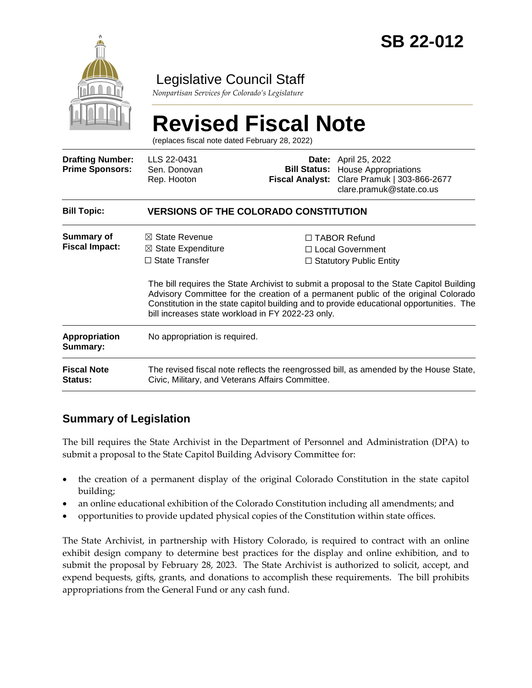

### Legislative Council Staff

*Nonpartisan Services for Colorado's Legislature*

# **Revised Fiscal Note**

(replaces fiscal note dated February 28, 2022)

| <b>Drafting Number:</b><br><b>Prime Sponsors:</b> | LLS 22-0431<br>Sen. Donovan<br>Rep. Hooton                                                                                                |                                                   | <b>Date:</b> April 25, 2022<br><b>Bill Status:</b> House Appropriations<br>Fiscal Analyst: Clare Pramuk   303-866-2677<br>clare.pramuk@state.co.us                                                                                                                                                                                                        |  |
|---------------------------------------------------|-------------------------------------------------------------------------------------------------------------------------------------------|---------------------------------------------------|-----------------------------------------------------------------------------------------------------------------------------------------------------------------------------------------------------------------------------------------------------------------------------------------------------------------------------------------------------------|--|
| <b>Bill Topic:</b>                                | <b>VERSIONS OF THE COLORADO CONSTITUTION</b>                                                                                              |                                                   |                                                                                                                                                                                                                                                                                                                                                           |  |
| Summary of<br><b>Fiscal Impact:</b>               | $\boxtimes$ State Revenue<br>$\boxtimes$ State Expenditure<br>$\Box$ State Transfer                                                       | bill increases state workload in FY 2022-23 only. | □ TABOR Refund<br>$\Box$ Local Government<br>$\Box$ Statutory Public Entity<br>The bill requires the State Archivist to submit a proposal to the State Capitol Building<br>Advisory Committee for the creation of a permanent public of the original Colorado<br>Constitution in the state capitol building and to provide educational opportunities. The |  |
| <b>Appropriation</b><br>Summary:                  | No appropriation is required.                                                                                                             |                                                   |                                                                                                                                                                                                                                                                                                                                                           |  |
| <b>Fiscal Note</b><br><b>Status:</b>              | The revised fiscal note reflects the reengrossed bill, as amended by the House State,<br>Civic, Military, and Veterans Affairs Committee. |                                                   |                                                                                                                                                                                                                                                                                                                                                           |  |

#### **Summary of Legislation**

The bill requires the State Archivist in the Department of Personnel and Administration (DPA) to submit a proposal to the State Capitol Building Advisory Committee for:

- the creation of a permanent display of the original Colorado Constitution in the state capitol building;
- an online educational exhibition of the Colorado Constitution including all amendments; and
- opportunities to provide updated physical copies of the Constitution within state offices.

The State Archivist, in partnership with History Colorado, is required to contract with an online exhibit design company to determine best practices for the display and online exhibition, and to submit the proposal by February 28, 2023. The State Archivist is authorized to solicit, accept, and expend bequests, gifts, grants, and donations to accomplish these requirements. The bill prohibits appropriations from the General Fund or any cash fund.